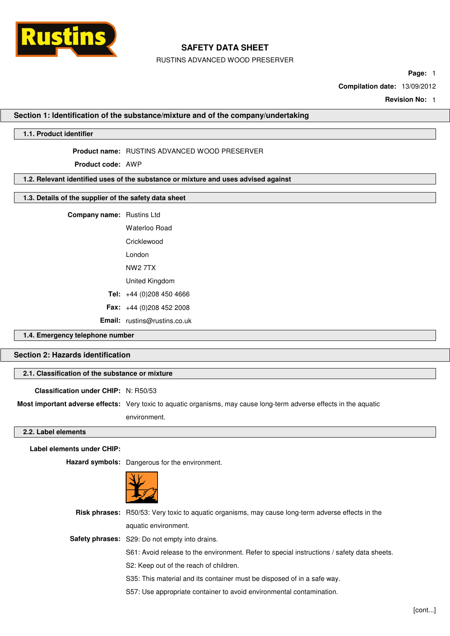

RUSTINS ADVANCED WOOD PRESERVER

**Page:** 1

**Compilation date:** 13/09/2012

**Revision No:** 1

#### **Section 1: Identification of the substance/mixture and of the company/undertaking**

## **1.1. Product identifier**

**Product name:** RUSTINS ADVANCED WOOD PRESERVER

**Product code:** AWP

#### **1.2. Relevant identified uses of the substance or mixture and uses advised against**

## **1.3. Details of the supplier of the safety data sheet**

| <b>Company name:</b> Rustins Ltd |  |
|----------------------------------|--|
|----------------------------------|--|

Waterloo Road **Cricklewood** London NW2 7TX United Kingdom **Tel:** +44 (0)208 450 4666 **Fax:** +44 (0)208 452 2008 **Email:** rustins@rustins.co.uk

## **1.4. Emergency telephone number**

## **Section 2: Hazards identification**

### **2.1. Classification of the substance or mixture**

**Classification under CHIP:** N: R50/53

**Most important adverse effects:** Very toxic to aquatic organisms, may cause long-term adverse effects in the aquatic

environment.

#### **2.2. Label elements**

**Label elements under CHIP:**

**Hazard symbols:** Dangerous for the environment.



| <b>Risk phrases:</b> R50/53: Very toxic to aguatic organisms, may cause long-term adverse effects in the |
|----------------------------------------------------------------------------------------------------------|
| aquatic environment.                                                                                     |
| <b>Safety phrases:</b> S29: Do not empty into drains.                                                    |
| S61: Avoid release to the environment. Refer to special instructions / safety data sheets.               |
| S2: Keep out of the reach of children.                                                                   |
| S35: This material and its container must be disposed of in a safe way.                                  |
| S57: Use appropriate container to avoid environmental contamination.                                     |
|                                                                                                          |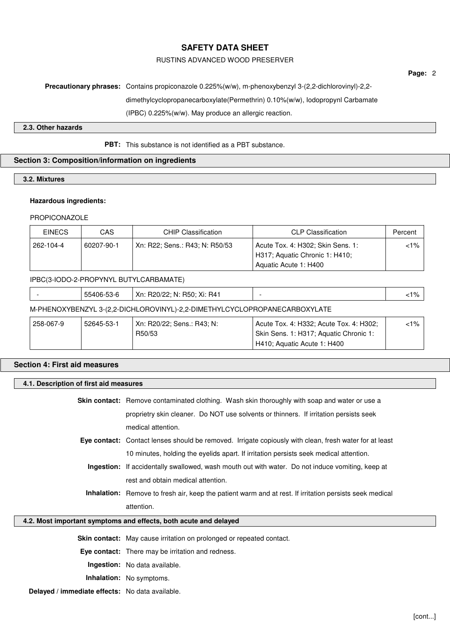## RUSTINS ADVANCED WOOD PRESERVER

# **Precautionary phrases:** Contains propiconazole 0.225%(w/w), m-phenoxybenzyl 3-(2,2-dichlorovinyl)-2,2 dimethylcyclopropanecarboxylate(Permethrin) 0.10%(w/w), Iodopropynl Carbamate (IPBC) 0.225%(w/w). May produce an allergic reaction.

## **2.3. Other hazards**

## **PBT:** This substance is not identified as a PBT substance.

## **Section 3: Composition/information on ingredients**

## **3.2. Mixtures**

#### **Hazardous ingredients:**

#### PROPICONAZOLE

| <b>EINECS</b> | CAS        | <b>CHIP Classification</b>     | <b>CLP Classification</b>                                           | Percent |
|---------------|------------|--------------------------------|---------------------------------------------------------------------|---------|
| 262-104-4     | 60207-90-1 | Xn: R22; Sens.: R43; N: R50/53 | Acute Tox. 4: H302; Skin Sens. 1:<br>H317; Aquatic Chronic 1: H410; | <1% '   |
|               |            |                                | Aquatic Acute 1: H400                                               |         |

## IPBC(3-IODO-2-PROPYNYL BUTYLCARBAMATE)

| $- -$<br><b>SS4UF</b><br>--<br>ے ر | Xn:<br>R4.<br>フロリン<br>-N.<br>H5U.<br>ᄭ<br>. | 40/<br>7٥ |
|------------------------------------|---------------------------------------------|-----------|
|                                    |                                             |           |

## M-PHENOXYBENZYL 3-(2,2-DICHLOROVINYL)-2,2-DIMETHYLCYCLOPROPANECARBOXYLATE

| 258-067-9 | 52645-53-1 | Xn: R20/22; Sens.: R43; N: | Acute Tox. 4: H332; Acute Tox. 4: H302; | <1% |
|-----------|------------|----------------------------|-----------------------------------------|-----|
|           |            | R50/53                     | Skin Sens. 1: H317; Aquatic Chronic 1:  |     |
|           |            |                            | H410; Aquatic Acute 1: H400             |     |

## **Section 4: First aid measures**

## **4.1. Description of first aid measures**

**Skin contact:** Remove contaminated clothing. Wash skin thoroughly with soap and water or use a proprietry skin cleaner. Do NOT use solvents or thinners. If irritation persists seek medical attention.

- **Eye contact:** Contact lenses should be removed. Irrigate copiously with clean, fresh water for at least 10 minutes, holding the eyelids apart. If irritation persists seek medical attention.
	- **Ingestion:** If accidentally swallowed, wash mouth out with water. Do not induce vomiting, keep at rest and obtain medical attention.
	- **Inhalation:** Remove to fresh air, keep the patient warm and at rest. If irritation persists seek medical attention.

## **4.2. Most important symptoms and effects, both acute and delayed**

**Skin contact:** May cause irritation on prolonged or repeated contact.

**Eye contact:** There may be irritation and redness.

**Ingestion:** No data available.

**Inhalation:** No symptoms.

**Delayed / immediate effects:** No data available.

**Page:** 2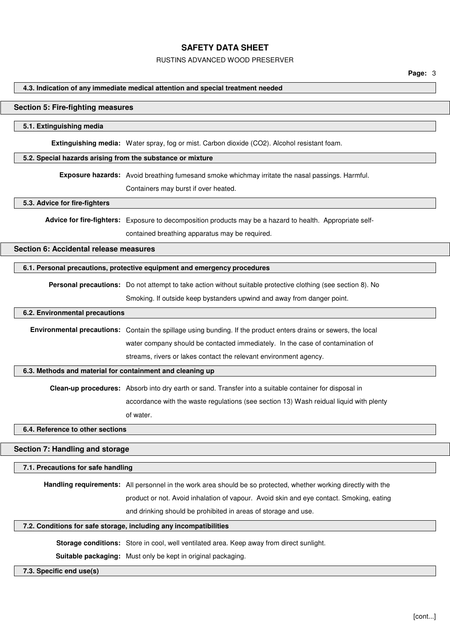#### RUSTINS ADVANCED WOOD PRESERVER

#### **4.3. Indication of any immediate medical attention and special treatment needed**

#### **Section 5: Fire-fighting measures**

#### **5.1. Extinguishing media**

**Extinguishing media:** Water spray, fog or mist. Carbon dioxide (CO2). Alcohol resistant foam.

#### **5.2. Special hazards arising from the substance or mixture**

**Exposure hazards:** Avoid breathing fumesand smoke whichmay irritate the nasal passings. Harmful.

Containers may burst if over heated.

#### **5.3. Advice for fire-fighters**

**Advice for fire-fighters:** Exposure to decomposition products may be a hazard to health. Appropriate self-

contained breathing apparatus may be required.

#### **Section 6: Accidental release measures**

### **6.1. Personal precautions, protective equipment and emergency procedures**

**Personal precautions:** Do not attempt to take action without suitable protective clothing (see section 8). No

Smoking. If outside keep bystanders upwind and away from danger point.

#### **6.2. Environmental precautions**

**Environmental precautions:** Contain the spillage using bunding. If the product enters drains or sewers, the local water company should be contacted immediately. In the case of contamination of streams, rivers or lakes contact the relevant environment agency.

#### **6.3. Methods and material for containment and cleaning up**

**Clean-up procedures:** Absorb into dry earth or sand. Transfer into a suitable container for disposal in accordance with the waste regulations (see section 13) Wash reidual liquid with plenty of water.

## **6.4. Reference to other sections**

#### **Section 7: Handling and storage**

#### **7.1. Precautions for safe handling**

**Handling requirements:** All personnel in the work area should be so protected, whether working directly with the product or not. Avoid inhalation of vapour. Avoid skin and eye contact. Smoking, eating and drinking should be prohibited in areas of storage and use.

#### **7.2. Conditions for safe storage, including any incompatibilities**

**Storage conditions:** Store in cool, well ventilated area. Keep away from direct sunlight.

**Suitable packaging:** Must only be kept in original packaging.

#### **7.3. Specific end use(s)**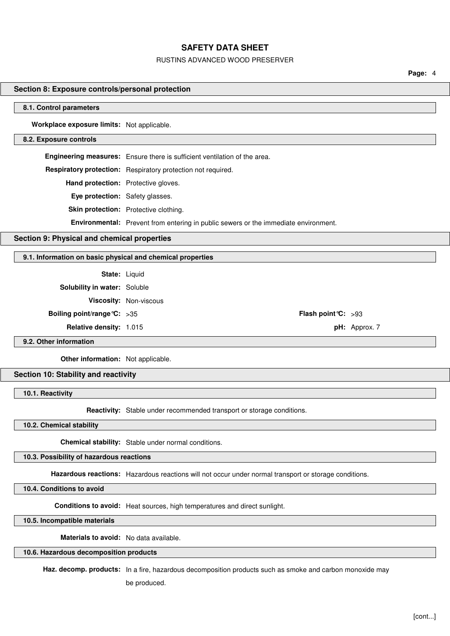#### RUSTINS ADVANCED WOOD PRESERVER

**Page:** 4

## **Section 8: Exposure controls/personal protection**

#### **8.1. Control parameters**

**Workplace exposure limits:** Not applicable.

#### **8.2. Exposure controls**

**Engineering measures:** Ensure there is sufficient ventilation of the area. **Respiratory protection:** Respiratory protection not required. **Hand protection:** Protective gloves. **Eye protection:** Safety glasses. **Skin protection:** Protective clothing. **Environmental:** Prevent from entering in public sewers or the immediate environment.

#### **Section 9: Physical and chemical properties**

## **9.1. Information on basic physical and chemical properties**

**State:** Liquid

**Solubility in water:** Soluble

**Viscosity:** Non-viscous

**Boiling point/range°C:** >35 **Flash point°C:** >93

**Relative density:** 1.015 **pH:** Approx. 7

#### **9.2. Other information**

**Other information:** Not applicable.

#### **Section 10: Stability and reactivity**

**10.1. Reactivity**

**Reactivity:** Stable under recommended transport or storage conditions.

#### **10.2. Chemical stability**

**Chemical stability:** Stable under normal conditions.

#### **10.3. Possibility of hazardous reactions**

**Hazardous reactions:** Hazardous reactions will not occur under normal transport or storage conditions.

**10.4. Conditions to avoid**

**Conditions to avoid:** Heat sources, high temperatures and direct sunlight.

**10.5. Incompatible materials**

**Materials to avoid:** No data available.

#### **10.6. Hazardous decomposition products**

**Haz. decomp. products:** In a fire, hazardous decomposition products such as smoke and carbon monoxide may

be produced.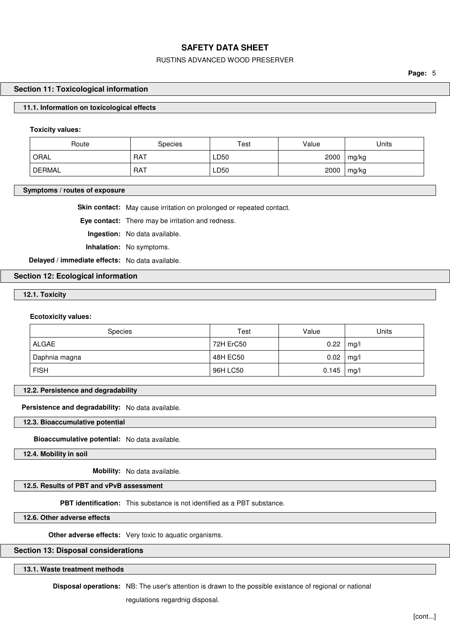### RUSTINS ADVANCED WOOD PRESERVER

**Page:** 5

#### **Section 11: Toxicological information**

#### **11.1. Information on toxicological effects**

#### **Toxicity values:**

| Route  | <b>Species</b> | Test | Value | Units |
|--------|----------------|------|-------|-------|
| ORAL   | RAT            | LD50 | 2000  | mg/kg |
| DERMAL | <b>RAT</b>     | LD50 | 2000  | mg/kg |

#### **Symptoms / routes of exposure**

**Skin contact:** May cause irritation on prolonged or repeated contact.

**Eye contact:** There may be irritation and redness.

**Ingestion:** No data available.

**Inhalation:** No symptoms.

**Delayed / immediate effects:** No data available.

## **Section 12: Ecological information**

**12.1. Toxicity**

#### **Ecotoxicity values:**

| <b>Species</b> | Test      | Value | Units |
|----------------|-----------|-------|-------|
| ALGAE          | 72H ErC50 | 0.22  | mg/l  |
| Daphnia magna  | 48H EC50  | 0.02  | mg/l  |
| <b>FISH</b>    | 96H LC50  | 0.145 | mg/l  |

**12.2. Persistence and degradability**

**Persistence and degradability:** No data available.

**12.3. Bioaccumulative potential**

**Bioaccumulative potential:** No data available.

**12.4. Mobility in soil**

**Mobility:** No data available.

**12.5. Results of PBT and vPvB assessment**

**PBT identification:** This substance is not identified as a PBT substance.

**12.6. Other adverse effects**

**Other adverse effects:** Very toxic to aquatic organisms.

#### **Section 13: Disposal considerations**

**13.1. Waste treatment methods**

**Disposal operations:** NB: The user's attention is drawn to the possible existance of regional or national

regulations regardnig disposal.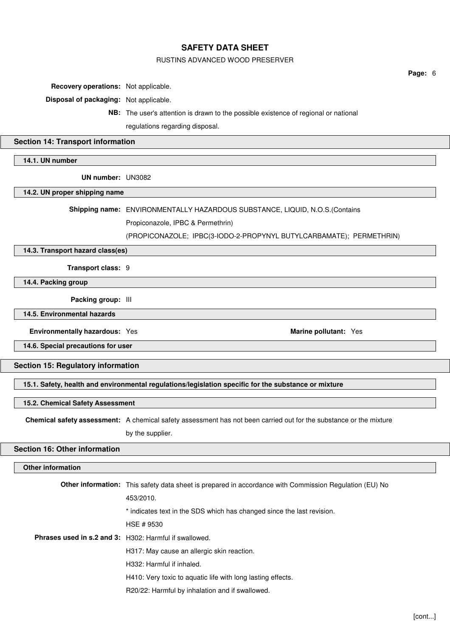#### RUSTINS ADVANCED WOOD PRESERVER

**Recovery operations:** Not applicable.

**Disposal of packaging:** Not applicable.

**NB:** The user's attention is drawn to the possible existence of regional or national regulations regarding disposal.

## **Section 14: Transport information**

## **14.1. UN number**

**UN number:** UN3082

#### **14.2. UN proper shipping name**

**Shipping name:** ENVIRONMENTALLY HAZARDOUS SUBSTANCE, LIQUID, N.O.S.(Contains

Propiconazole, IPBC & Permethrin)

(PROPICONAZOLE; IPBC(3-IODO-2-PROPYNYL BUTYLCARBAMATE); PERMETHRIN)

**14.3. Transport hazard class(es)**

**Transport class:** 9

**14.4. Packing group**

**Packing group:** III

**14.5. Environmental hazards**

**Environmentally hazardous:** Yes **Marine pollutant:** Yes **Marine pollutant:** Yes

**14.6. Special precautions for user**

**Section 15: Regulatory information**

**15.1. Safety, health and environmental regulations/legislation specific for the substance or mixture**

#### **15.2. Chemical Safety Assessment**

**Chemical safety assessment:** A chemical safety assessment has not been carried out for the substance or the mixture

by the supplier.

## **Section 16: Other information**

## **Other information**

|                                                               | <b>Other information:</b> This safety data sheet is prepared in accordance with Commission Regulation (EU) No |
|---------------------------------------------------------------|---------------------------------------------------------------------------------------------------------------|
|                                                               | 453/2010.                                                                                                     |
|                                                               | * indicates text in the SDS which has changed since the last revision.                                        |
|                                                               | HSE # 9530                                                                                                    |
| <b>Phrases used in s.2 and 3:</b> H302: Harmful if swallowed. |                                                                                                               |
|                                                               | H317: May cause an allergic skin reaction.                                                                    |
|                                                               | H332: Harmful if inhaled.                                                                                     |
|                                                               | H410: Very toxic to aquatic life with long lasting effects.                                                   |
|                                                               | R20/22: Harmful by inhalation and if swallowed.                                                               |

**Page:** 6